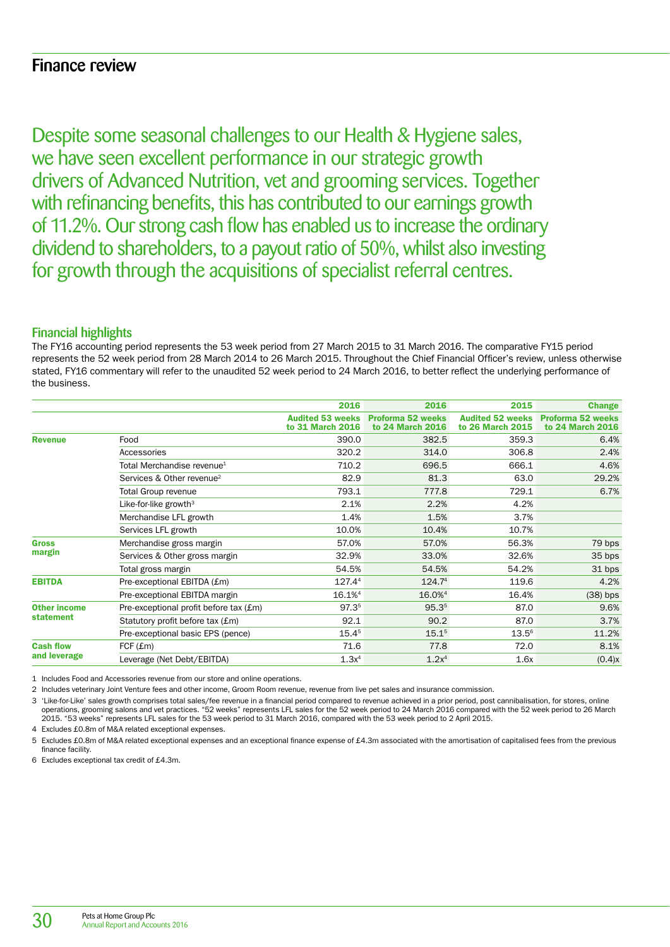# Finance review

Despite some seasonal challenges to our Health & Hygiene sales, we have seen excellent performance in our strategic growth drivers of Advanced Nutrition, vet and grooming services. Together with refinancing benefits, this has contributed to our earnings growth of 11.2%. Our strong cash flow has enabled us to increase the ordinary dividend to shareholders, to a payout ratio of 50%, whilst also investing for growth through the acquisitions of specialist referral centres.

# Financial highlights

The FY16 accounting period represents the 53 week period from 27 March 2015 to 31 March 2016. The comparative FY15 period represents the 52 week period from 28 March 2014 to 26 March 2015. Throughout the Chief Financial Officer's review, unless otherwise stated, FY16 commentary will refer to the unaudited 52 week period to 24 March 2016, to better reflect the underlying performance of the business.

|                                         |                                        | 2016                                        | 2016                                         | 2015                                        | <b>Change</b>                                |
|-----------------------------------------|----------------------------------------|---------------------------------------------|----------------------------------------------|---------------------------------------------|----------------------------------------------|
|                                         |                                        | <b>Audited 53 weeks</b><br>to 31 March 2016 | <b>Proforma 52 weeks</b><br>to 24 March 2016 | <b>Audited 52 weeks</b><br>to 26 March 2015 | <b>Proforma 52 weeks</b><br>to 24 March 2016 |
| <b>Revenue</b>                          | Food                                   | 390.0                                       | 382.5                                        | 359.3                                       | 6.4%                                         |
|                                         | Accessories                            | 320.2                                       | 314.0                                        | 306.8                                       | 2.4%                                         |
|                                         | Total Merchandise revenue <sup>1</sup> | 710.2                                       | 696.5                                        | 666.1                                       | 4.6%                                         |
|                                         | Services & Other revenue <sup>2</sup>  | 82.9                                        | 81.3                                         | 63.0                                        | 29.2%                                        |
|                                         | Total Group revenue                    | 793.1                                       | 777.8                                        | 729.1                                       | 6.7%                                         |
|                                         | Like-for-like growth $3$               | 2.1%                                        | 2.2%                                         | 4.2%                                        |                                              |
|                                         | Merchandise LFL growth                 | 1.4%                                        | 1.5%                                         | 3.7%                                        |                                              |
|                                         | Services LFL growth                    | 10.0%                                       | 10.4%                                        | 10.7%                                       |                                              |
| <b>Gross</b><br>margin                  | Merchandise gross margin               | 57.0%                                       | 57.0%                                        | 56.3%                                       | 79 bps                                       |
|                                         | Services & Other gross margin          | 32.9%                                       | 33.0%                                        | 32.6%                                       | 35 bps                                       |
|                                         | Total gross margin                     | 54.5%                                       | 54.5%                                        | 54.2%                                       | 31 bps                                       |
| <b>EBITDA</b>                           | Pre-exceptional EBITDA (£m)            | 127.44                                      | 124.7 <sup>4</sup>                           | 119.6                                       | 4.2%                                         |
|                                         | Pre-exceptional EBITDA margin          | 16.1% <sup>4</sup>                          | 16.0% <sup>4</sup>                           | 16.4%                                       | $(38)$ bps                                   |
| <b>Other income</b><br><b>statement</b> | Pre-exceptional profit before tax (£m) | 97.35                                       | 95.3 <sup>5</sup>                            | 87.0                                        | 9.6%                                         |
|                                         | Statutory profit before tax (£m)       | 92.1                                        | 90.2                                         | 87.0                                        | 3.7%                                         |
|                                         | Pre-exceptional basic EPS (pence)      | $15.4^{5}$                                  | $15.1^{5}$                                   | $13.5^6$                                    | 11.2%                                        |
| <b>Cash flow</b><br>and leverage        | FCF(f.m)                               | 71.6                                        | 77.8                                         | 72.0                                        | 8.1%                                         |
|                                         | Leverage (Net Debt/EBITDA)             | $1.3x^4$                                    | $1.2x^4$                                     | 1.6x                                        | $(0.4)$ x                                    |

1 Includes Food and Accessories revenue from our store and online operations.

2 Includes veterinary Joint Venture fees and other income, Groom Room revenue, revenue from live pet sales and insurance commission.

3 'Like-for-Like' sales growth comprises total sales/fee revenue in a financial period compared to revenue achieved in a prior period, post cannibalisation, for stores, online operations, grooming salons and vet practices. "52 weeks" represents LFL sales for the 52 week period to 24 March 2016 compared with the 52 week period to 26 March 2015. "53 weeks" represents LFL sales for the 53 week period to 31 March 2016, compared with the 53 week period to 2 April 2015.

4 Excludes £0.8m of M&A related exceptional expenses.

5 Excludes £0.8m of M&A related exceptional expenses and an exceptional finance expense of £4.3m associated with the amortisation of capitalised fees from the previous finance facility.

6 Excludes exceptional tax credit of £4.3m.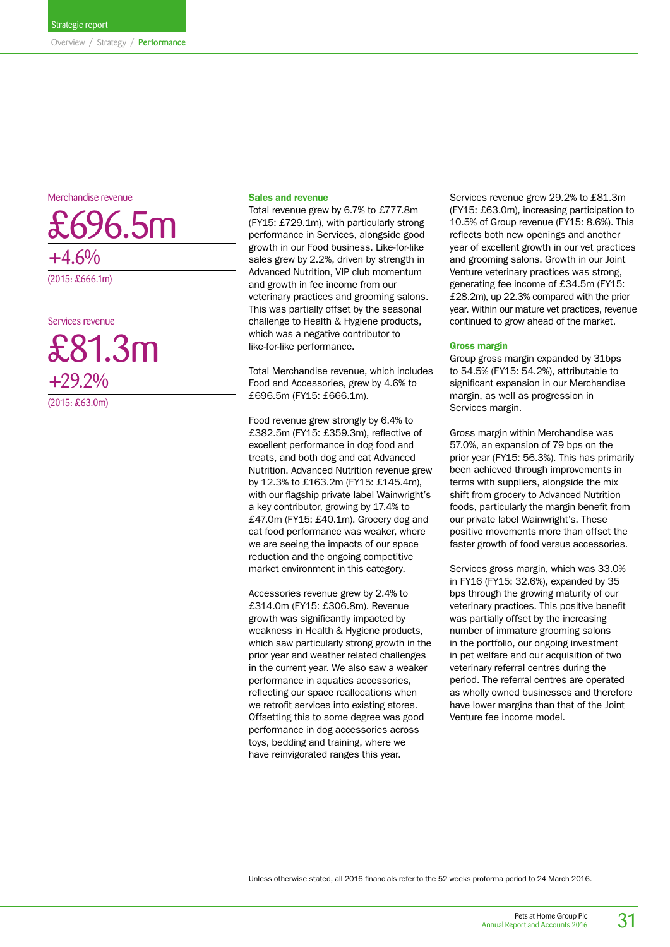Merchandise revenue

£696.5m +4.6%  $(015: \text{\textsterling}666.1m)$ 

Services revenue

£81.3m

+29.2%

(2015: £63.0m)

#### Sales and revenue

Total revenue grew by 6.7% to £777.8m (FY15: £729.1m), with particularly strong performance in Services, alongside good growth in our Food business. Like-for-like sales grew by 2.2%, driven by strength in Advanced Nutrition, VIP club momentum and growth in fee income from our veterinary practices and grooming salons. This was partially offset by the seasonal challenge to Health & Hygiene products, which was a negative contributor to like-for-like performance.

Total Merchandise revenue, which includes Food and Accessories, grew by 4.6% to £696.5m (FY15: £666.1m).

Food revenue grew strongly by 6.4% to £382.5m (FY15: £359.3m), reflective of excellent performance in dog food and treats, and both dog and cat Advanced Nutrition. Advanced Nutrition revenue grew by 12.3% to £163.2m (FY15: £145.4m), with our flagship private label Wainwright's a key contributor, growing by 17.4% to £47.0m (FY15: £40.1m). Grocery dog and cat food performance was weaker, where we are seeing the impacts of our space reduction and the ongoing competitive market environment in this category.

Accessories revenue grew by 2.4% to £314.0m (FY15: £306.8m). Revenue growth was significantly impacted by weakness in Health & Hygiene products, which saw particularly strong growth in the prior year and weather related challenges in the current year. We also saw a weaker performance in aquatics accessories, reflecting our space reallocations when we retrofit services into existing stores. Offsetting this to some degree was good performance in dog accessories across toys, bedding and training, where we have reinvigorated ranges this year.

Services revenue grew 29.2% to £81.3m (FY15: £63.0m), increasing participation to 10.5% of Group revenue (FY15: 8.6%). This reflects both new openings and another year of excellent growth in our vet practices and grooming salons. Growth in our Joint Venture veterinary practices was strong, generating fee income of £34.5m (FY15: £28.2m), up 22.3% compared with the prior year. Within our mature vet practices, revenue continued to grow ahead of the market.

#### Gross margin

Group gross margin expanded by 31bps to 54.5% (FY15: 54.2%), attributable to significant expansion in our Merchandise margin, as well as progression in Services margin.

Gross margin within Merchandise was 57.0%, an expansion of 79 bps on the prior year (FY15: 56.3%). This has primarily been achieved through improvements in terms with suppliers, alongside the mix shift from grocery to Advanced Nutrition foods, particularly the margin benefit from our private label Wainwright's. These positive movements more than offset the faster growth of food versus accessories.

Services gross margin, which was 33.0% in FY16 (FY15: 32.6%), expanded by 35 bps through the growing maturity of our veterinary practices. This positive benefit was partially offset by the increasing number of immature grooming salons in the portfolio, our ongoing investment in pet welfare and our acquisition of two veterinary referral centres during the period. The referral centres are operated as wholly owned businesses and therefore have lower margins than that of the Joint Venture fee income model.

Unless otherwise stated, all 2016 financials refer to the 52 weeks proforma period to 24 March 2016.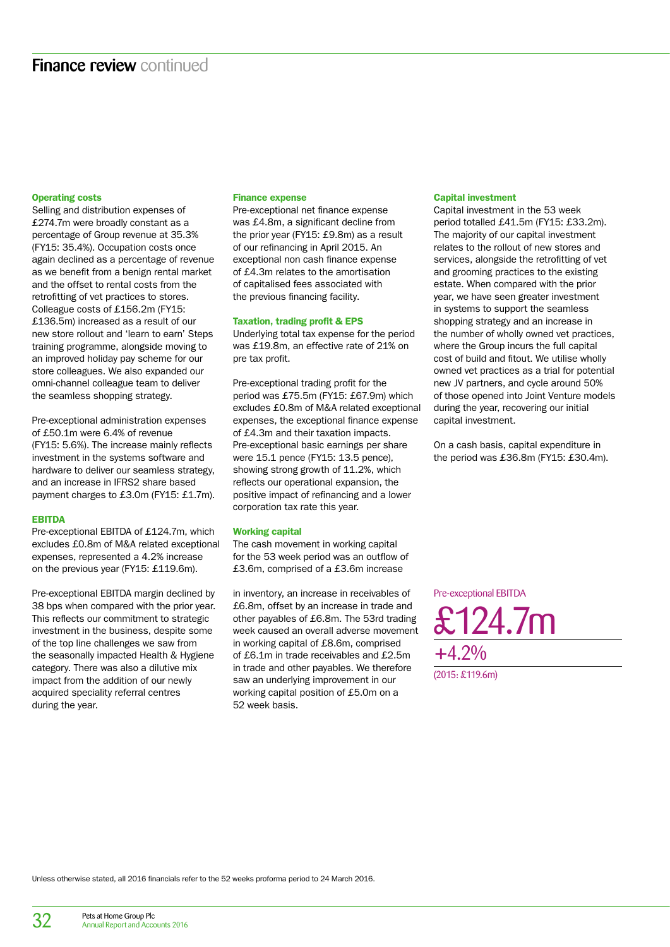# Operating costs

Selling and distribution expenses of £274.7m were broadly constant as a percentage of Group revenue at 35.3% (FY15: 35.4%). Occupation costs once again declined as a percentage of revenue as we benefit from a benign rental market and the offset to rental costs from the retrofitting of vet practices to stores. Colleague costs of £156.2m (FY15: £136.5m) increased as a result of our new store rollout and 'learn to earn' Steps training programme, alongside moving to an improved holiday pay scheme for our store colleagues. We also expanded our omni-channel colleague team to deliver the seamless shopping strategy.

Pre-exceptional administration expenses of £50.1m were 6.4% of revenue (FY15: 5.6%). The increase mainly reflects investment in the systems software and hardware to deliver our seamless strategy, and an increase in IFRS2 share based payment charges to £3.0m (FY15: £1.7m).

# EBITDA

Pre-exceptional EBITDA of £124.7m, which excludes £0.8m of M&A related exceptional expenses, represented a 4.2% increase on the previous year (FY15: £119.6m).

Pre-exceptional EBITDA margin declined by 38 bps when compared with the prior year. This reflects our commitment to strategic investment in the business, despite some of the top line challenges we saw from the seasonally impacted Health & Hygiene category. There was also a dilutive mix impact from the addition of our newly acquired speciality referral centres during the year.

# Finance expense

Pre-exceptional net finance expense was £4.8m, a significant decline from the prior year (FY15: £9.8m) as a result of our refinancing in April 2015. An exceptional non cash finance expense of £4.3m relates to the amortisation of capitalised fees associated with the previous financing facility.

# Taxation, trading profit & EPS

Underlying total tax expense for the period was £19.8m, an effective rate of 21% on pre tax profit.

Pre-exceptional trading profit for the period was £75.5m (FY15: £67.9m) which excludes £0.8m of M&A related exceptional expenses, the exceptional finance expense of £4.3m and their taxation impacts. Pre-exceptional basic earnings per share were 15.1 pence (FY15: 13.5 pence), showing strong growth of 11.2%, which reflects our operational expansion, the positive impact of refinancing and a lower corporation tax rate this year.

### Working capital

The cash movement in working capital for the 53 week period was an outflow of £3.6m, comprised of a £3.6m increase

in inventory, an increase in receivables of £6.8m, offset by an increase in trade and other payables of £6.8m. The 53rd trading week caused an overall adverse movement in working capital of £8.6m, comprised of £6.1m in trade receivables and £2.5m in trade and other payables. We therefore saw an underlying improvement in our working capital position of £5.0m on a 52 week basis.

### Capital investment

Capital investment in the 53 week period totalled £41.5m (FY15: £33.2m). The majority of our capital investment relates to the rollout of new stores and services, alongside the retrofitting of vet and grooming practices to the existing estate. When compared with the prior year, we have seen greater investment in systems to support the seamless shopping strategy and an increase in the number of wholly owned vet practices, where the Group incurs the full capital cost of build and fitout. We utilise wholly owned vet practices as a trial for potential new JV partners, and cycle around 50% of those opened into Joint Venture models during the year, recovering our initial capital investment.

On a cash basis, capital expenditure in the period was £36.8m (FY15: £30.4m).

Pre-exceptional EBITDA £124.7m  $+4.2%$ (2015: £119.6m)

Unless otherwise stated, all 2016 financials refer to the 52 weeks proforma period to 24 March 2016.